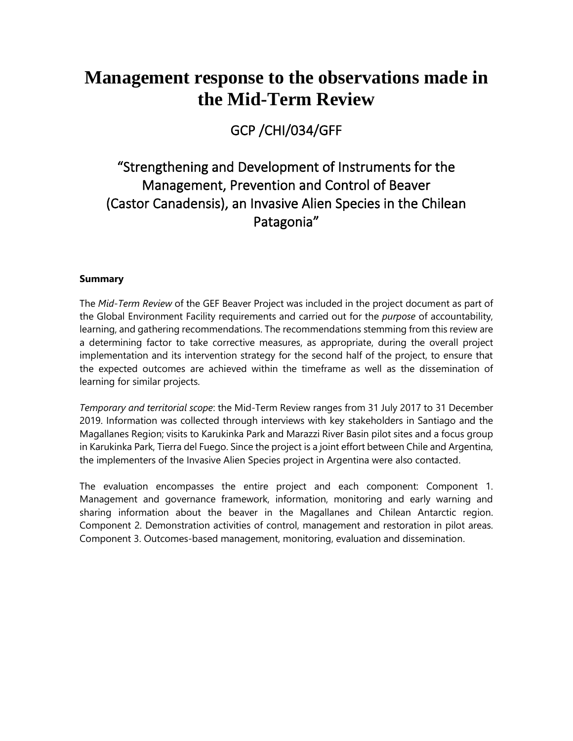## **Management response to the observations made in the Mid-Term Review**

GCP /CHI/034/GFF

## "Strengthening and Development of Instruments for the Management, Prevention and Control of Beaver (Castor Canadensis), an Invasive Alien Species in the Chilean Patagonia"

## **Summary**

The *Mid-Term Review* of the GEF Beaver Project was included in the project document as part of the Global Environment Facility requirements and carried out for the *purpose* of accountability, learning, and gathering recommendations. The recommendations stemming from this review are a determining factor to take corrective measures, as appropriate, during the overall project implementation and its intervention strategy for the second half of the project, to ensure that the expected outcomes are achieved within the timeframe as well as the dissemination of learning for similar projects.

*Temporary and territorial scope*: the Mid-Term Review ranges from 31 July 2017 to 31 December 2019. Information was collected through interviews with key stakeholders in Santiago and the Magallanes Region; visits to Karukinka Park and Marazzi River Basin pilot sites and a focus group in Karukinka Park, Tierra del Fuego. Since the project is a joint effort between Chile and Argentina, the implementers of the Invasive Alien Species project in Argentina were also contacted.

The evaluation encompasses the entire project and each component: Component 1. Management and governance framework, information, monitoring and early warning and sharing information about the beaver in the Magallanes and Chilean Antarctic region. Component 2. Demonstration activities of control, management and restoration in pilot areas. Component 3. Outcomes-based management, monitoring, evaluation and dissemination.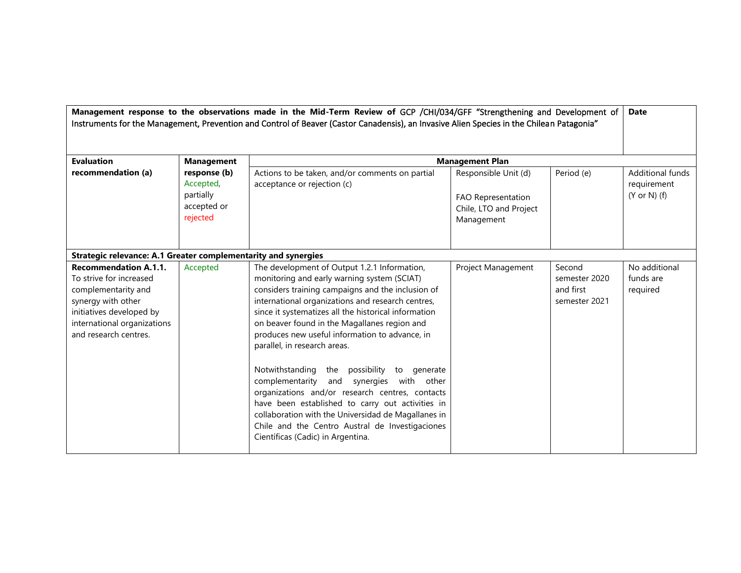| Management response to the observations made in the Mid-Term Review of GCP /CHI/034/GFF "Strengthening and Development of<br>Instruments for the Management, Prevention and Control of Beaver (Castor Canadensis), an Invasive Alien Species in the Chilean Patagonia" |                                                                   |                                                                                                                                                                                                                                                                                                                                                                                                                                                                                                                                                                                                                                                                                                                                                  | <b>Date</b>                                                                        |                                                       |                                                            |
|------------------------------------------------------------------------------------------------------------------------------------------------------------------------------------------------------------------------------------------------------------------------|-------------------------------------------------------------------|--------------------------------------------------------------------------------------------------------------------------------------------------------------------------------------------------------------------------------------------------------------------------------------------------------------------------------------------------------------------------------------------------------------------------------------------------------------------------------------------------------------------------------------------------------------------------------------------------------------------------------------------------------------------------------------------------------------------------------------------------|------------------------------------------------------------------------------------|-------------------------------------------------------|------------------------------------------------------------|
| <b>Evaluation</b>                                                                                                                                                                                                                                                      | <b>Management</b>                                                 |                                                                                                                                                                                                                                                                                                                                                                                                                                                                                                                                                                                                                                                                                                                                                  | <b>Management Plan</b>                                                             |                                                       |                                                            |
| recommendation (a)                                                                                                                                                                                                                                                     | response (b)<br>Accepted,<br>partially<br>accepted or<br>rejected | Actions to be taken, and/or comments on partial<br>acceptance or rejection (c)                                                                                                                                                                                                                                                                                                                                                                                                                                                                                                                                                                                                                                                                   | Responsible Unit (d)<br>FAO Representation<br>Chile, LTO and Project<br>Management | Period (e)                                            | Additional funds<br>requirement<br>$(Y \text{ or } N)$ (f) |
| Strategic relevance: A.1 Greater complementarity and synergies                                                                                                                                                                                                         |                                                                   |                                                                                                                                                                                                                                                                                                                                                                                                                                                                                                                                                                                                                                                                                                                                                  |                                                                                    |                                                       |                                                            |
| <b>Recommendation A.1.1.</b><br>To strive for increased<br>complementarity and<br>synergy with other<br>initiatives developed by<br>international organizations<br>and research centres.                                                                               | Accepted                                                          | The development of Output 1.2.1 Information,<br>monitoring and early warning system (SCIAT)<br>considers training campaigns and the inclusion of<br>international organizations and research centres,<br>since it systematizes all the historical information<br>on beaver found in the Magallanes region and<br>produces new useful information to advance, in<br>parallel, in research areas.<br>Notwithstanding the possibility to generate<br>complementarity and synergies with other<br>organizations and/or research centres, contacts<br>have been established to carry out activities in<br>collaboration with the Universidad de Magallanes in<br>Chile and the Centro Austral de Investigaciones<br>Científicas (Cadic) in Argentina. | Project Management                                                                 | Second<br>semester 2020<br>and first<br>semester 2021 | No additional<br>funds are<br>required                     |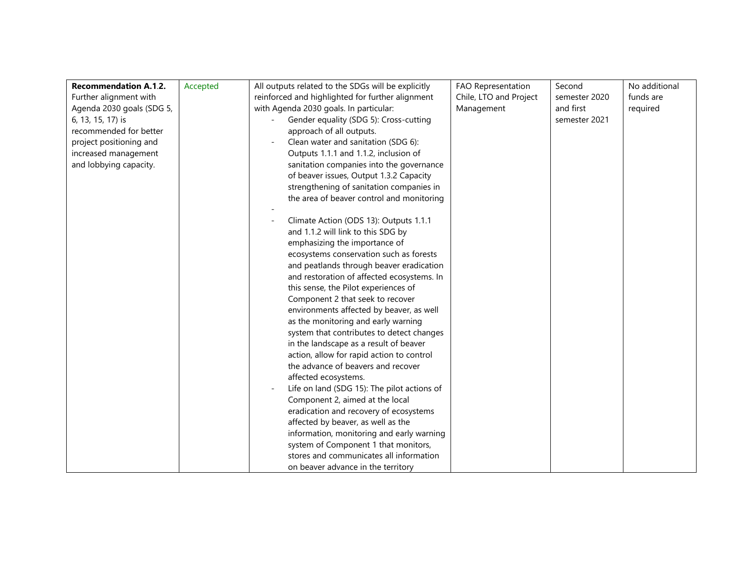| <b>Recommendation A.1.2.</b> | Accepted | All outputs related to the SDGs will be explicitly | FAO Representation     | Second        | No additional |
|------------------------------|----------|----------------------------------------------------|------------------------|---------------|---------------|
| Further alignment with       |          | reinforced and highlighted for further alignment   | Chile, LTO and Project | semester 2020 | funds are     |
| Agenda 2030 goals (SDG 5,    |          | with Agenda 2030 goals. In particular:             | Management             | and first     | required      |
| 6, 13, 15, 17) is            |          | Gender equality (SDG 5): Cross-cutting             |                        | semester 2021 |               |
| recommended for better       |          | approach of all outputs.                           |                        |               |               |
| project positioning and      |          | Clean water and sanitation (SDG 6):                |                        |               |               |
| increased management         |          | Outputs 1.1.1 and 1.1.2, inclusion of              |                        |               |               |
| and lobbying capacity.       |          | sanitation companies into the governance           |                        |               |               |
|                              |          | of beaver issues, Output 1.3.2 Capacity            |                        |               |               |
|                              |          | strengthening of sanitation companies in           |                        |               |               |
|                              |          | the area of beaver control and monitoring          |                        |               |               |
|                              |          |                                                    |                        |               |               |
|                              |          | Climate Action (ODS 13): Outputs 1.1.1             |                        |               |               |
|                              |          | and 1.1.2 will link to this SDG by                 |                        |               |               |
|                              |          | emphasizing the importance of                      |                        |               |               |
|                              |          | ecosystems conservation such as forests            |                        |               |               |
|                              |          | and peatlands through beaver eradication           |                        |               |               |
|                              |          | and restoration of affected ecosystems. In         |                        |               |               |
|                              |          | this sense, the Pilot experiences of               |                        |               |               |
|                              |          | Component 2 that seek to recover                   |                        |               |               |
|                              |          | environments affected by beaver, as well           |                        |               |               |
|                              |          | as the monitoring and early warning                |                        |               |               |
|                              |          | system that contributes to detect changes          |                        |               |               |
|                              |          | in the landscape as a result of beaver             |                        |               |               |
|                              |          | action, allow for rapid action to control          |                        |               |               |
|                              |          | the advance of beavers and recover                 |                        |               |               |
|                              |          | affected ecosystems.                               |                        |               |               |
|                              |          | Life on land (SDG 15): The pilot actions of        |                        |               |               |
|                              |          | Component 2, aimed at the local                    |                        |               |               |
|                              |          | eradication and recovery of ecosystems             |                        |               |               |
|                              |          | affected by beaver, as well as the                 |                        |               |               |
|                              |          | information, monitoring and early warning          |                        |               |               |
|                              |          | system of Component 1 that monitors,               |                        |               |               |
|                              |          | stores and communicates all information            |                        |               |               |
|                              |          | on beaver advance in the territory                 |                        |               |               |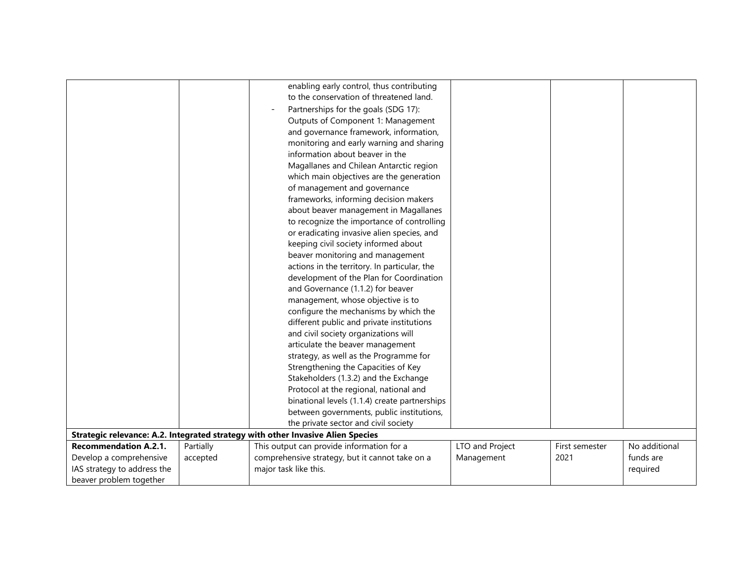|                              |           | enabling early control, thus contributing                                       |                 |                |               |
|------------------------------|-----------|---------------------------------------------------------------------------------|-----------------|----------------|---------------|
|                              |           | to the conservation of threatened land.                                         |                 |                |               |
|                              |           | Partnerships for the goals (SDG 17):                                            |                 |                |               |
|                              |           | Outputs of Component 1: Management                                              |                 |                |               |
|                              |           | and governance framework, information,                                          |                 |                |               |
|                              |           | monitoring and early warning and sharing                                        |                 |                |               |
|                              |           | information about beaver in the                                                 |                 |                |               |
|                              |           | Magallanes and Chilean Antarctic region                                         |                 |                |               |
|                              |           | which main objectives are the generation                                        |                 |                |               |
|                              |           | of management and governance                                                    |                 |                |               |
|                              |           | frameworks, informing decision makers                                           |                 |                |               |
|                              |           | about beaver management in Magallanes                                           |                 |                |               |
|                              |           | to recognize the importance of controlling                                      |                 |                |               |
|                              |           | or eradicating invasive alien species, and                                      |                 |                |               |
|                              |           | keeping civil society informed about                                            |                 |                |               |
|                              |           | beaver monitoring and management                                                |                 |                |               |
|                              |           | actions in the territory. In particular, the                                    |                 |                |               |
|                              |           | development of the Plan for Coordination                                        |                 |                |               |
|                              |           | and Governance (1.1.2) for beaver                                               |                 |                |               |
|                              |           | management, whose objective is to                                               |                 |                |               |
|                              |           | configure the mechanisms by which the                                           |                 |                |               |
|                              |           | different public and private institutions                                       |                 |                |               |
|                              |           | and civil society organizations will                                            |                 |                |               |
|                              |           | articulate the beaver management                                                |                 |                |               |
|                              |           | strategy, as well as the Programme for                                          |                 |                |               |
|                              |           | Strengthening the Capacities of Key                                             |                 |                |               |
|                              |           | Stakeholders (1.3.2) and the Exchange                                           |                 |                |               |
|                              |           | Protocol at the regional, national and                                          |                 |                |               |
|                              |           | binational levels (1.1.4) create partnerships                                   |                 |                |               |
|                              |           | between governments, public institutions,                                       |                 |                |               |
|                              |           | the private sector and civil society                                            |                 |                |               |
|                              |           | Strategic relevance: A.2. Integrated strategy with other Invasive Alien Species |                 |                |               |
| <b>Recommendation A.2.1.</b> | Partially | This output can provide information for a                                       | LTO and Project | First semester | No additional |
| Develop a comprehensive      | accepted  | comprehensive strategy, but it cannot take on a                                 | Management      | 2021           | funds are     |
| IAS strategy to address the  |           | major task like this.                                                           |                 |                | required      |
| beaver problem together      |           |                                                                                 |                 |                |               |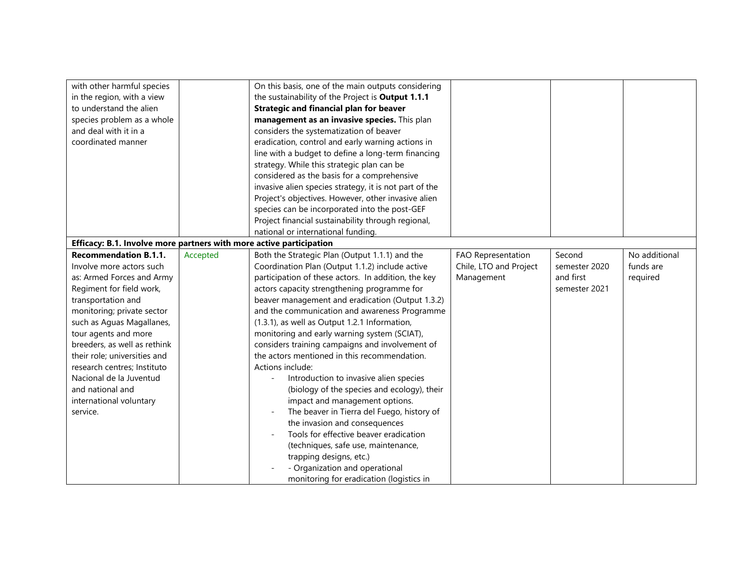| with other harmful species                                          |          | On this basis, one of the main outputs considering     |                        |               |               |
|---------------------------------------------------------------------|----------|--------------------------------------------------------|------------------------|---------------|---------------|
| in the region, with a view                                          |          | the sustainability of the Project is Output 1.1.1      |                        |               |               |
| to understand the alien                                             |          | <b>Strategic and financial plan for beaver</b>         |                        |               |               |
| species problem as a whole                                          |          | management as an invasive species. This plan           |                        |               |               |
| and deal with it in a                                               |          | considers the systematization of beaver                |                        |               |               |
| coordinated manner                                                  |          | eradication, control and early warning actions in      |                        |               |               |
|                                                                     |          | line with a budget to define a long-term financing     |                        |               |               |
|                                                                     |          | strategy. While this strategic plan can be             |                        |               |               |
|                                                                     |          | considered as the basis for a comprehensive            |                        |               |               |
|                                                                     |          | invasive alien species strategy, it is not part of the |                        |               |               |
|                                                                     |          | Project's objectives. However, other invasive alien    |                        |               |               |
|                                                                     |          | species can be incorporated into the post-GEF          |                        |               |               |
|                                                                     |          | Project financial sustainability through regional,     |                        |               |               |
|                                                                     |          | national or international funding.                     |                        |               |               |
| Efficacy: B.1. Involve more partners with more active participation |          |                                                        |                        |               |               |
| <b>Recommendation B.1.1.</b>                                        | Accepted | Both the Strategic Plan (Output 1.1.1) and the         | FAO Representation     | Second        | No additional |
| Involve more actors such                                            |          | Coordination Plan (Output 1.1.2) include active        | Chile, LTO and Project | semester 2020 | funds are     |
| as: Armed Forces and Army                                           |          | participation of these actors. In addition, the key    | Management             | and first     | required      |
| Regiment for field work,                                            |          | actors capacity strengthening programme for            |                        | semester 2021 |               |
| transportation and                                                  |          | beaver management and eradication (Output 1.3.2)       |                        |               |               |
| monitoring; private sector                                          |          | and the communication and awareness Programme          |                        |               |               |
| such as Aguas Magallanes,                                           |          | (1.3.1), as well as Output 1.2.1 Information,          |                        |               |               |
| tour agents and more                                                |          | monitoring and early warning system (SCIAT),           |                        |               |               |
| breeders, as well as rethink                                        |          | considers training campaigns and involvement of        |                        |               |               |
| their role; universities and                                        |          | the actors mentioned in this recommendation.           |                        |               |               |
| research centres; Instituto                                         |          | Actions include:                                       |                        |               |               |
| Nacional de la Juventud                                             |          | Introduction to invasive alien species                 |                        |               |               |
| and national and                                                    |          | (biology of the species and ecology), their            |                        |               |               |
| international voluntary                                             |          | impact and management options.                         |                        |               |               |
| service.                                                            |          | The beaver in Tierra del Fuego, history of             |                        |               |               |
|                                                                     |          | the invasion and consequences                          |                        |               |               |
|                                                                     |          | Tools for effective beaver eradication                 |                        |               |               |
|                                                                     |          | (techniques, safe use, maintenance,                    |                        |               |               |
|                                                                     |          | trapping designs, etc.)                                |                        |               |               |
|                                                                     |          | - Organization and operational                         |                        |               |               |
|                                                                     |          |                                                        |                        |               |               |
|                                                                     |          | monitoring for eradication (logistics in               |                        |               |               |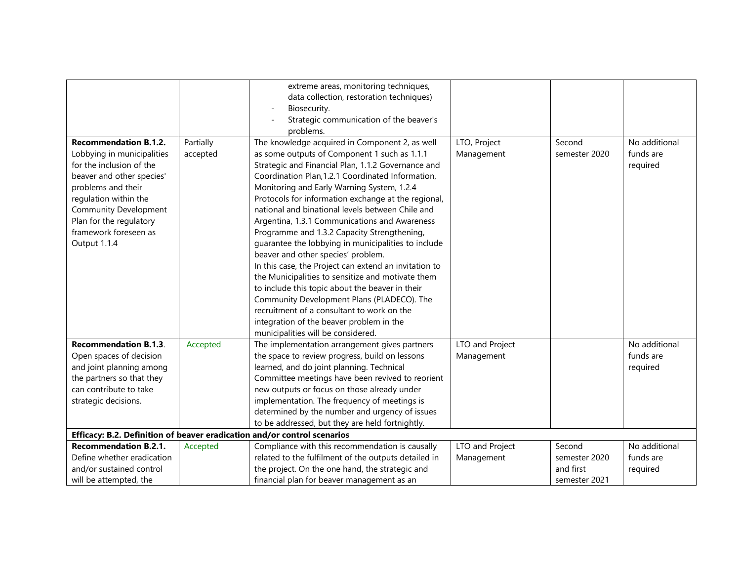|                                                                          |           | extreme areas, monitoring techniques,                 |                 |               |               |
|--------------------------------------------------------------------------|-----------|-------------------------------------------------------|-----------------|---------------|---------------|
|                                                                          |           | data collection, restoration techniques)              |                 |               |               |
|                                                                          |           | Biosecurity.                                          |                 |               |               |
|                                                                          |           | Strategic communication of the beaver's               |                 |               |               |
|                                                                          |           | problems.                                             |                 |               |               |
| <b>Recommendation B.1.2.</b>                                             | Partially | The knowledge acquired in Component 2, as well        | LTO, Project    | Second        | No additional |
| Lobbying in municipalities                                               | accepted  | as some outputs of Component 1 such as 1.1.1          | Management      | semester 2020 | funds are     |
| for the inclusion of the                                                 |           | Strategic and Financial Plan, 1.1.2 Governance and    |                 |               | required      |
| beaver and other species'                                                |           | Coordination Plan, 1.2.1 Coordinated Information,     |                 |               |               |
| problems and their                                                       |           | Monitoring and Early Warning System, 1.2.4            |                 |               |               |
| regulation within the                                                    |           | Protocols for information exchange at the regional,   |                 |               |               |
| <b>Community Development</b>                                             |           | national and binational levels between Chile and      |                 |               |               |
| Plan for the regulatory                                                  |           | Argentina, 1.3.1 Communications and Awareness         |                 |               |               |
| framework foreseen as                                                    |           | Programme and 1.3.2 Capacity Strengthening,           |                 |               |               |
| Output 1.1.4                                                             |           | guarantee the lobbying in municipalities to include   |                 |               |               |
|                                                                          |           | beaver and other species' problem.                    |                 |               |               |
|                                                                          |           | In this case, the Project can extend an invitation to |                 |               |               |
|                                                                          |           | the Municipalities to sensitize and motivate them     |                 |               |               |
|                                                                          |           | to include this topic about the beaver in their       |                 |               |               |
|                                                                          |           | Community Development Plans (PLADECO). The            |                 |               |               |
|                                                                          |           | recruitment of a consultant to work on the            |                 |               |               |
|                                                                          |           | integration of the beaver problem in the              |                 |               |               |
|                                                                          |           | municipalities will be considered.                    |                 |               |               |
| <b>Recommendation B.1.3.</b>                                             | Accepted  | The implementation arrangement gives partners         | LTO and Project |               | No additional |
| Open spaces of decision                                                  |           | the space to review progress, build on lessons        | Management      |               | funds are     |
| and joint planning among                                                 |           | learned, and do joint planning. Technical             |                 |               | required      |
| the partners so that they                                                |           | Committee meetings have been revived to reorient      |                 |               |               |
| can contribute to take                                                   |           | new outputs or focus on those already under           |                 |               |               |
| strategic decisions.                                                     |           | implementation. The frequency of meetings is          |                 |               |               |
|                                                                          |           | determined by the number and urgency of issues        |                 |               |               |
|                                                                          |           | to be addressed, but they are held fortnightly.       |                 |               |               |
| Efficacy: B.2. Definition of beaver eradication and/or control scenarios |           |                                                       |                 |               |               |
| <b>Recommendation B.2.1.</b>                                             | Accepted  | Compliance with this recommendation is causally       | LTO and Project | Second        | No additional |
| Define whether eradication                                               |           | related to the fulfilment of the outputs detailed in  | Management      | semester 2020 | funds are     |
| and/or sustained control                                                 |           | the project. On the one hand, the strategic and       |                 | and first     | required      |
| will be attempted, the                                                   |           | financial plan for beaver management as an            |                 | semester 2021 |               |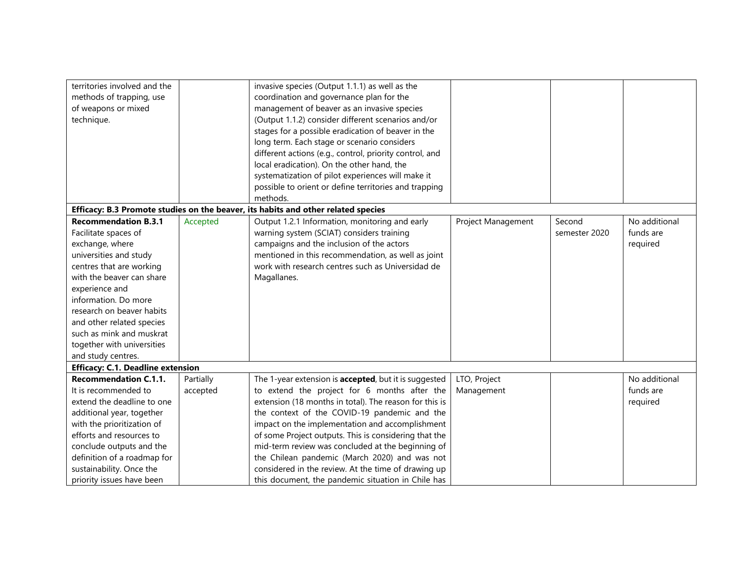| territories involved and the<br>methods of trapping, use<br>of weapons or mixed<br>technique. |           | invasive species (Output 1.1.1) as well as the<br>coordination and governance plan for the<br>management of beaver as an invasive species<br>(Output 1.1.2) consider different scenarios and/or<br>stages for a possible eradication of beaver in the<br>long term. Each stage or scenario considers<br>different actions (e.g., control, priority control, and<br>local eradication). On the other hand, the<br>systematization of pilot experiences will make it<br>possible to orient or define territories and trapping |                    |               |               |
|-----------------------------------------------------------------------------------------------|-----------|-----------------------------------------------------------------------------------------------------------------------------------------------------------------------------------------------------------------------------------------------------------------------------------------------------------------------------------------------------------------------------------------------------------------------------------------------------------------------------------------------------------------------------|--------------------|---------------|---------------|
|                                                                                               |           | methods.                                                                                                                                                                                                                                                                                                                                                                                                                                                                                                                    |                    |               |               |
|                                                                                               |           | Efficacy: B.3 Promote studies on the beaver, its habits and other related species                                                                                                                                                                                                                                                                                                                                                                                                                                           |                    |               |               |
| <b>Recommendation B.3.1</b>                                                                   | Accepted  | Output 1.2.1 Information, monitoring and early                                                                                                                                                                                                                                                                                                                                                                                                                                                                              | Project Management | Second        | No additional |
| Facilitate spaces of                                                                          |           | warning system (SCIAT) considers training                                                                                                                                                                                                                                                                                                                                                                                                                                                                                   |                    | semester 2020 | funds are     |
| exchange, where                                                                               |           | campaigns and the inclusion of the actors                                                                                                                                                                                                                                                                                                                                                                                                                                                                                   |                    |               | required      |
| universities and study                                                                        |           | mentioned in this recommendation, as well as joint                                                                                                                                                                                                                                                                                                                                                                                                                                                                          |                    |               |               |
| centres that are working                                                                      |           | work with research centres such as Universidad de                                                                                                                                                                                                                                                                                                                                                                                                                                                                           |                    |               |               |
| with the beaver can share                                                                     |           | Magallanes.                                                                                                                                                                                                                                                                                                                                                                                                                                                                                                                 |                    |               |               |
| experience and                                                                                |           |                                                                                                                                                                                                                                                                                                                                                                                                                                                                                                                             |                    |               |               |
| information. Do more                                                                          |           |                                                                                                                                                                                                                                                                                                                                                                                                                                                                                                                             |                    |               |               |
| research on beaver habits                                                                     |           |                                                                                                                                                                                                                                                                                                                                                                                                                                                                                                                             |                    |               |               |
| and other related species                                                                     |           |                                                                                                                                                                                                                                                                                                                                                                                                                                                                                                                             |                    |               |               |
| such as mink and muskrat                                                                      |           |                                                                                                                                                                                                                                                                                                                                                                                                                                                                                                                             |                    |               |               |
| together with universities                                                                    |           |                                                                                                                                                                                                                                                                                                                                                                                                                                                                                                                             |                    |               |               |
| and study centres.                                                                            |           |                                                                                                                                                                                                                                                                                                                                                                                                                                                                                                                             |                    |               |               |
| <b>Efficacy: C.1. Deadline extension</b>                                                      |           |                                                                                                                                                                                                                                                                                                                                                                                                                                                                                                                             |                    |               |               |
| <b>Recommendation C.1.1.</b>                                                                  | Partially | The 1-year extension is <b>accepted</b> , but it is suggested                                                                                                                                                                                                                                                                                                                                                                                                                                                               | LTO, Project       |               | No additional |
| It is recommended to                                                                          | accepted  | to extend the project for 6 months after the                                                                                                                                                                                                                                                                                                                                                                                                                                                                                | Management         |               | funds are     |
| extend the deadline to one                                                                    |           | extension (18 months in total). The reason for this is                                                                                                                                                                                                                                                                                                                                                                                                                                                                      |                    |               | required      |
| additional year, together                                                                     |           | the context of the COVID-19 pandemic and the                                                                                                                                                                                                                                                                                                                                                                                                                                                                                |                    |               |               |
| with the prioritization of                                                                    |           | impact on the implementation and accomplishment                                                                                                                                                                                                                                                                                                                                                                                                                                                                             |                    |               |               |
| efforts and resources to                                                                      |           | of some Project outputs. This is considering that the                                                                                                                                                                                                                                                                                                                                                                                                                                                                       |                    |               |               |
| conclude outputs and the                                                                      |           | mid-term review was concluded at the beginning of                                                                                                                                                                                                                                                                                                                                                                                                                                                                           |                    |               |               |
| definition of a roadmap for                                                                   |           | the Chilean pandemic (March 2020) and was not                                                                                                                                                                                                                                                                                                                                                                                                                                                                               |                    |               |               |
| sustainability. Once the                                                                      |           | considered in the review. At the time of drawing up                                                                                                                                                                                                                                                                                                                                                                                                                                                                         |                    |               |               |
| priority issues have been                                                                     |           | this document, the pandemic situation in Chile has                                                                                                                                                                                                                                                                                                                                                                                                                                                                          |                    |               |               |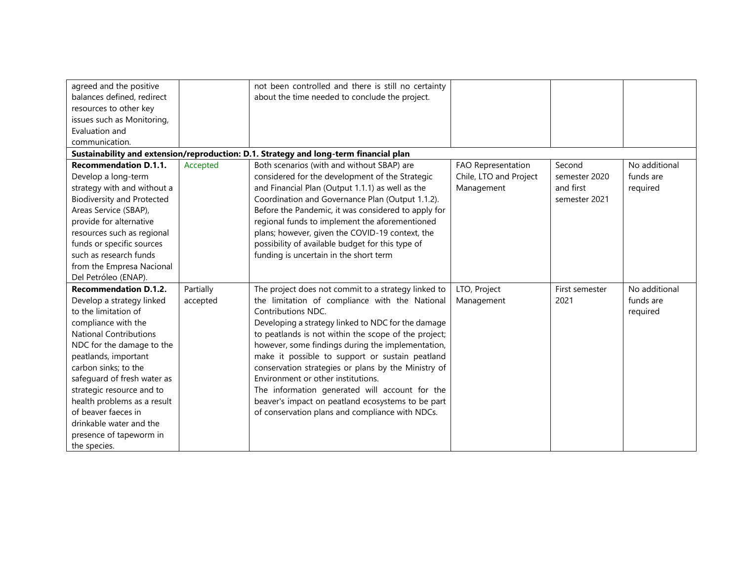| agreed and the positive           |           | not been controlled and there is still no certainty                                   |                        |                |               |
|-----------------------------------|-----------|---------------------------------------------------------------------------------------|------------------------|----------------|---------------|
| balances defined, redirect        |           | about the time needed to conclude the project.                                        |                        |                |               |
| resources to other key            |           |                                                                                       |                        |                |               |
| issues such as Monitoring,        |           |                                                                                       |                        |                |               |
| Evaluation and                    |           |                                                                                       |                        |                |               |
| communication.                    |           |                                                                                       |                        |                |               |
|                                   |           | Sustainability and extension/reproduction: D.1. Strategy and long-term financial plan |                        |                |               |
| <b>Recommendation D.1.1.</b>      | Accepted  | Both scenarios (with and without SBAP) are                                            | FAO Representation     | Second         | No additional |
| Develop a long-term               |           | considered for the development of the Strategic                                       | Chile, LTO and Project | semester 2020  | funds are     |
| strategy with and without a       |           | and Financial Plan (Output 1.1.1) as well as the                                      | Management             | and first      | required      |
| <b>Biodiversity and Protected</b> |           | Coordination and Governance Plan (Output 1.1.2).                                      |                        | semester 2021  |               |
| Areas Service (SBAP),             |           | Before the Pandemic, it was considered to apply for                                   |                        |                |               |
| provide for alternative           |           | regional funds to implement the aforementioned                                        |                        |                |               |
| resources such as regional        |           | plans; however, given the COVID-19 context, the                                       |                        |                |               |
| funds or specific sources         |           | possibility of available budget for this type of                                      |                        |                |               |
| such as research funds            |           | funding is uncertain in the short term                                                |                        |                |               |
| from the Empresa Nacional         |           |                                                                                       |                        |                |               |
| Del Petróleo (ENAP).              |           |                                                                                       |                        |                |               |
| <b>Recommendation D.1.2.</b>      | Partially | The project does not commit to a strategy linked to                                   | LTO, Project           | First semester | No additional |
| Develop a strategy linked         | accepted  | the limitation of compliance with the National                                        | Management             | 2021           | funds are     |
| to the limitation of              |           | Contributions NDC.                                                                    |                        |                | required      |
| compliance with the               |           | Developing a strategy linked to NDC for the damage                                    |                        |                |               |
| <b>National Contributions</b>     |           | to peatlands is not within the scope of the project;                                  |                        |                |               |
| NDC for the damage to the         |           | however, some findings during the implementation,                                     |                        |                |               |
| peatlands, important              |           | make it possible to support or sustain peatland                                       |                        |                |               |
| carbon sinks; to the              |           | conservation strategies or plans by the Ministry of                                   |                        |                |               |
| safeguard of fresh water as       |           | Environment or other institutions.                                                    |                        |                |               |
| strategic resource and to         |           | The information generated will account for the                                        |                        |                |               |
| health problems as a result       |           | beaver's impact on peatland ecosystems to be part                                     |                        |                |               |
| of beaver faeces in               |           | of conservation plans and compliance with NDCs.                                       |                        |                |               |
| drinkable water and the           |           |                                                                                       |                        |                |               |
| presence of tapeworm in           |           |                                                                                       |                        |                |               |
| the species.                      |           |                                                                                       |                        |                |               |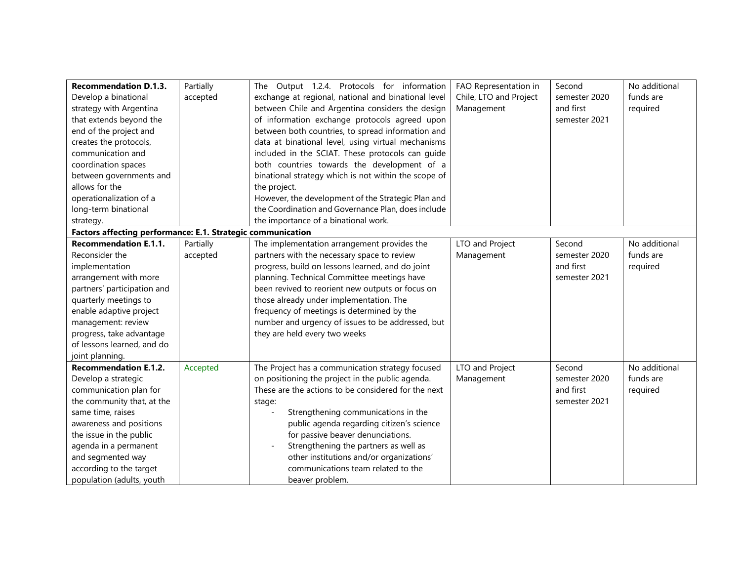| <b>Recommendation D.1.3.</b>                                | Partially | The Output 1.2.4. Protocols for information           | FAO Representation in  | Second        | No additional |
|-------------------------------------------------------------|-----------|-------------------------------------------------------|------------------------|---------------|---------------|
| Develop a binational                                        | accepted  | exchange at regional, national and binational level   | Chile, LTO and Project | semester 2020 | funds are     |
| strategy with Argentina                                     |           | between Chile and Argentina considers the design      | Management             | and first     | required      |
| that extends beyond the                                     |           | of information exchange protocols agreed upon         |                        | semester 2021 |               |
| end of the project and                                      |           | between both countries, to spread information and     |                        |               |               |
| creates the protocols,                                      |           | data at binational level, using virtual mechanisms    |                        |               |               |
| communication and                                           |           | included in the SCIAT. These protocols can guide      |                        |               |               |
| coordination spaces                                         |           | both countries towards the development of a           |                        |               |               |
| between governments and                                     |           | binational strategy which is not within the scope of  |                        |               |               |
| allows for the                                              |           | the project.                                          |                        |               |               |
| operationalization of a                                     |           | However, the development of the Strategic Plan and    |                        |               |               |
| long-term binational                                        |           | the Coordination and Governance Plan, does include    |                        |               |               |
| strategy.                                                   |           | the importance of a binational work.                  |                        |               |               |
| Factors affecting performance: E.1. Strategic communication |           |                                                       |                        |               |               |
| <b>Recommendation E.1.1.</b>                                | Partially | The implementation arrangement provides the           | LTO and Project        | Second        | No additional |
| Reconsider the                                              | accepted  | partners with the necessary space to review           | Management             | semester 2020 | funds are     |
| implementation                                              |           | progress, build on lessons learned, and do joint      |                        | and first     | required      |
| arrangement with more                                       |           | planning. Technical Committee meetings have           |                        | semester 2021 |               |
| partners' participation and                                 |           | been revived to reorient new outputs or focus on      |                        |               |               |
| quarterly meetings to                                       |           | those already under implementation. The               |                        |               |               |
| enable adaptive project                                     |           | frequency of meetings is determined by the            |                        |               |               |
| management: review                                          |           | number and urgency of issues to be addressed, but     |                        |               |               |
| progress, take advantage                                    |           | they are held every two weeks                         |                        |               |               |
| of lessons learned, and do                                  |           |                                                       |                        |               |               |
| joint planning.                                             |           |                                                       |                        |               |               |
| <b>Recommendation E.1.2.</b>                                | Accepted  | The Project has a communication strategy focused      | LTO and Project        | Second        | No additional |
| Develop a strategic                                         |           | on positioning the project in the public agenda.      | Management             | semester 2020 | funds are     |
| communication plan for                                      |           | These are the actions to be considered for the next   |                        | and first     | required      |
| the community that, at the                                  |           | stage:                                                |                        | semester 2021 |               |
| same time, raises                                           |           | Strengthening communications in the<br>$\overline{a}$ |                        |               |               |
| awareness and positions                                     |           | public agenda regarding citizen's science             |                        |               |               |
| the issue in the public                                     |           | for passive beaver denunciations.                     |                        |               |               |
| agenda in a permanent                                       |           | Strengthening the partners as well as                 |                        |               |               |
| and segmented way                                           |           | other institutions and/or organizations'              |                        |               |               |
| according to the target                                     |           | communications team related to the                    |                        |               |               |
| population (adults, youth                                   |           | beaver problem.                                       |                        |               |               |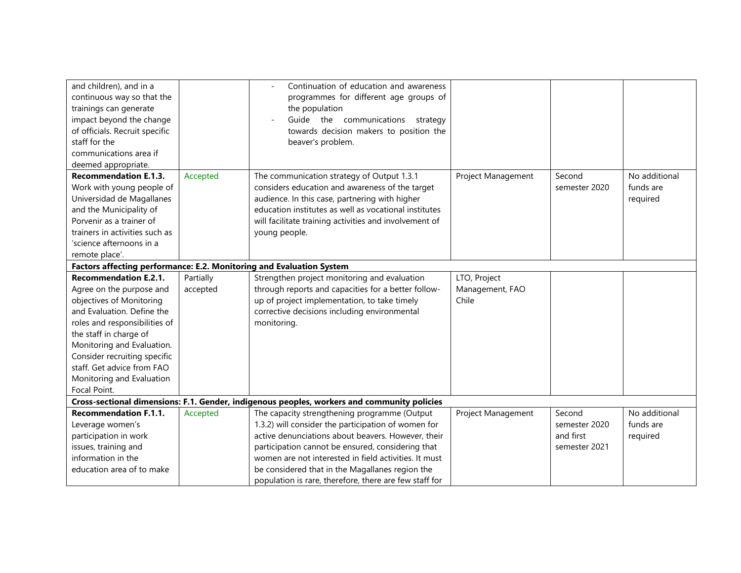| and children), and in a<br>continuous way so that the<br>trainings can generate<br>impact beyond the change<br>of officials. Recruit specific<br>staff for the<br>communications area if<br>deemed appropriate.                                                                                                        |                       | Continuation of education and awareness<br>programmes for different age groups of<br>the population<br>Guide the communications strategy<br>towards decision makers to position the<br>beaver's problem.                                                                                                                                                                             |                                          |                                                       |                                        |  |  |
|------------------------------------------------------------------------------------------------------------------------------------------------------------------------------------------------------------------------------------------------------------------------------------------------------------------------|-----------------------|--------------------------------------------------------------------------------------------------------------------------------------------------------------------------------------------------------------------------------------------------------------------------------------------------------------------------------------------------------------------------------------|------------------------------------------|-------------------------------------------------------|----------------------------------------|--|--|
| <b>Recommendation E.1.3.</b><br>Work with young people of<br>Universidad de Magallanes<br>and the Municipality of<br>Porvenir as a trainer of<br>trainers in activities such as<br>'science afternoons in a<br>remote place'.                                                                                          | Accepted              | The communication strategy of Output 1.3.1<br>considers education and awareness of the target<br>audience. In this case, partnering with higher<br>education institutes as well as vocational institutes<br>will facilitate training activities and involvement of<br>young people.                                                                                                  | Project Management                       | Second<br>semester 2020                               | No additional<br>funds are<br>required |  |  |
| Factors affecting performance: E.2. Monitoring and Evaluation System                                                                                                                                                                                                                                                   |                       |                                                                                                                                                                                                                                                                                                                                                                                      |                                          |                                                       |                                        |  |  |
| <b>Recommendation E.2.1.</b><br>Agree on the purpose and<br>objectives of Monitoring<br>and Evaluation. Define the<br>roles and responsibilities of<br>the staff in charge of<br>Monitoring and Evaluation.<br>Consider recruiting specific<br>staff. Get advice from FAO<br>Monitoring and Evaluation<br>Focal Point. | Partially<br>accepted | Strengthen project monitoring and evaluation<br>through reports and capacities for a better follow-<br>up of project implementation, to take timely<br>corrective decisions including environmental<br>monitoring.                                                                                                                                                                   | LTO, Project<br>Management, FAO<br>Chile |                                                       |                                        |  |  |
| Cross-sectional dimensions: F.1. Gender, indigenous peoples, workers and community policies                                                                                                                                                                                                                            |                       |                                                                                                                                                                                                                                                                                                                                                                                      |                                          |                                                       |                                        |  |  |
| <b>Recommendation F.1.1.</b><br>Leverage women's<br>participation in work<br>issues, training and<br>information in the<br>education area of to make                                                                                                                                                                   | Accepted              | The capacity strengthening programme (Output<br>1.3.2) will consider the participation of women for<br>active denunciations about beavers. However, their<br>participation cannot be ensured, considering that<br>women are not interested in field activities. It must<br>be considered that in the Magallanes region the<br>population is rare, therefore, there are few staff for | Project Management                       | Second<br>semester 2020<br>and first<br>semester 2021 | No additional<br>funds are<br>required |  |  |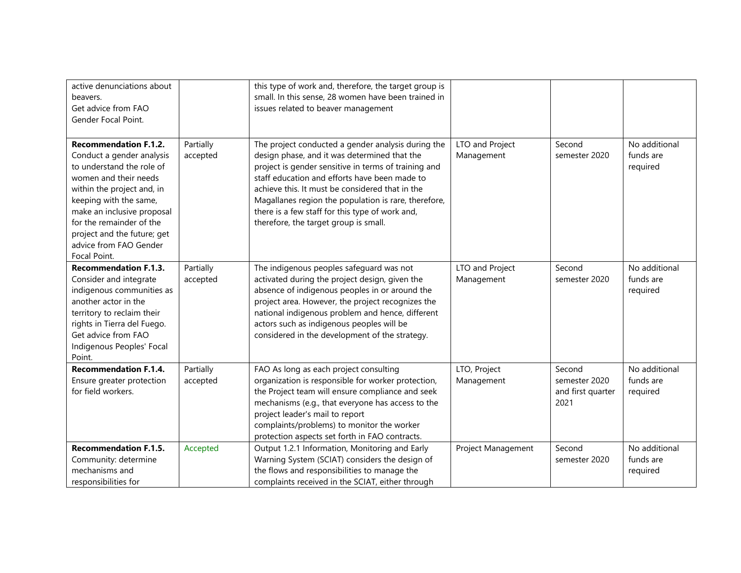| active denunciations about<br>beavers.<br>Get advice from FAO<br>Gender Focal Point.                                                                                                                                                                                                                       |                                   | this type of work and, therefore, the target group is<br>small. In this sense, 28 women have been trained in<br>issues related to beaver management                                                                                                                                                                                                                                                                |                                                  |                                                                |                                                         |
|------------------------------------------------------------------------------------------------------------------------------------------------------------------------------------------------------------------------------------------------------------------------------------------------------------|-----------------------------------|--------------------------------------------------------------------------------------------------------------------------------------------------------------------------------------------------------------------------------------------------------------------------------------------------------------------------------------------------------------------------------------------------------------------|--------------------------------------------------|----------------------------------------------------------------|---------------------------------------------------------|
| <b>Recommendation F.1.2.</b><br>Conduct a gender analysis<br>to understand the role of<br>women and their needs<br>within the project and, in<br>keeping with the same,<br>make an inclusive proposal<br>for the remainder of the<br>project and the future; get<br>advice from FAO Gender<br>Focal Point. | Partially<br>accepted             | The project conducted a gender analysis during the<br>design phase, and it was determined that the<br>project is gender sensitive in terms of training and<br>staff education and efforts have been made to<br>achieve this. It must be considered that in the<br>Magallanes region the population is rare, therefore,<br>there is a few staff for this type of work and,<br>therefore, the target group is small. | LTO and Project<br>Management                    | Second<br>semester 2020                                        | No additional<br>funds are<br>required                  |
| <b>Recommendation F.1.3.</b><br>Consider and integrate<br>indigenous communities as<br>another actor in the<br>territory to reclaim their<br>rights in Tierra del Fuego.<br>Get advice from FAO<br>Indigenous Peoples' Focal<br>Point.                                                                     | Partially<br>accepted             | The indigenous peoples safeguard was not<br>activated during the project design, given the<br>absence of indigenous peoples in or around the<br>project area. However, the project recognizes the<br>national indigenous problem and hence, different<br>actors such as indigenous peoples will be<br>considered in the development of the strategy.                                                               | LTO and Project<br>Management                    | Second<br>semester 2020                                        | No additional<br>funds are<br>required                  |
| <b>Recommendation F.1.4.</b><br>Ensure greater protection<br>for field workers.<br><b>Recommendation F.1.5.</b>                                                                                                                                                                                            | Partially<br>accepted<br>Accepted | FAO As long as each project consulting<br>organization is responsible for worker protection,<br>the Project team will ensure compliance and seek<br>mechanisms (e.g., that everyone has access to the<br>project leader's mail to report<br>complaints/problems) to monitor the worker<br>protection aspects set forth in FAO contracts.<br>Output 1.2.1 Information, Monitoring and Early                         | LTO, Project<br>Management<br>Project Management | Second<br>semester 2020<br>and first quarter<br>2021<br>Second | No additional<br>funds are<br>required<br>No additional |
| Community: determine<br>mechanisms and<br>responsibilities for                                                                                                                                                                                                                                             |                                   | Warning System (SCIAT) considers the design of<br>the flows and responsibilities to manage the<br>complaints received in the SCIAT, either through                                                                                                                                                                                                                                                                 |                                                  | semester 2020                                                  | funds are<br>required                                   |